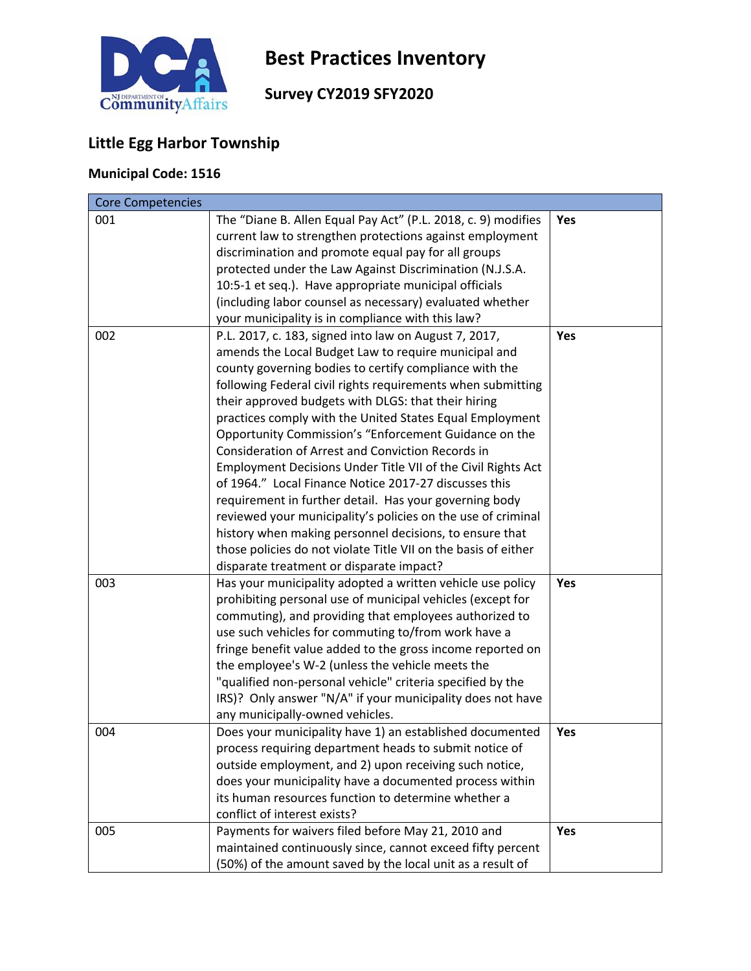

# **Best Practices Inventory**

## **Survey CY2019 SFY2020**

## **Little Egg Harbor Township**

## **Municipal Code: 1516**

| <b>Core Competencies</b> |                                                                |     |
|--------------------------|----------------------------------------------------------------|-----|
| 001                      | The "Diane B. Allen Equal Pay Act" (P.L. 2018, c. 9) modifies  | Yes |
|                          | current law to strengthen protections against employment       |     |
|                          | discrimination and promote equal pay for all groups            |     |
|                          | protected under the Law Against Discrimination (N.J.S.A.       |     |
|                          | 10:5-1 et seq.). Have appropriate municipal officials          |     |
|                          | (including labor counsel as necessary) evaluated whether       |     |
|                          | your municipality is in compliance with this law?              |     |
| 002                      | P.L. 2017, c. 183, signed into law on August 7, 2017,          | Yes |
|                          | amends the Local Budget Law to require municipal and           |     |
|                          | county governing bodies to certify compliance with the         |     |
|                          | following Federal civil rights requirements when submitting    |     |
|                          | their approved budgets with DLGS: that their hiring            |     |
|                          | practices comply with the United States Equal Employment       |     |
|                          | Opportunity Commission's "Enforcement Guidance on the          |     |
|                          | Consideration of Arrest and Conviction Records in              |     |
|                          | Employment Decisions Under Title VII of the Civil Rights Act   |     |
|                          | of 1964." Local Finance Notice 2017-27 discusses this          |     |
|                          | requirement in further detail. Has your governing body         |     |
|                          | reviewed your municipality's policies on the use of criminal   |     |
|                          | history when making personnel decisions, to ensure that        |     |
|                          | those policies do not violate Title VII on the basis of either |     |
|                          | disparate treatment or disparate impact?                       |     |
| 003                      | Has your municipality adopted a written vehicle use policy     | Yes |
|                          | prohibiting personal use of municipal vehicles (except for     |     |
|                          | commuting), and providing that employees authorized to         |     |
|                          | use such vehicles for commuting to/from work have a            |     |
|                          | fringe benefit value added to the gross income reported on     |     |
|                          | the employee's W-2 (unless the vehicle meets the               |     |
|                          | "qualified non-personal vehicle" criteria specified by the     |     |
|                          | IRS)? Only answer "N/A" if your municipality does not have     |     |
|                          | any municipally-owned vehicles.                                |     |
| 004                      | Does your municipality have 1) an established documented       | Yes |
|                          | process requiring department heads to submit notice of         |     |
|                          | outside employment, and 2) upon receiving such notice,         |     |
|                          | does your municipality have a documented process within        |     |
|                          | its human resources function to determine whether a            |     |
|                          | conflict of interest exists?                                   |     |
| 005                      | Payments for waivers filed before May 21, 2010 and             | Yes |
|                          | maintained continuously since, cannot exceed fifty percent     |     |
|                          | (50%) of the amount saved by the local unit as a result of     |     |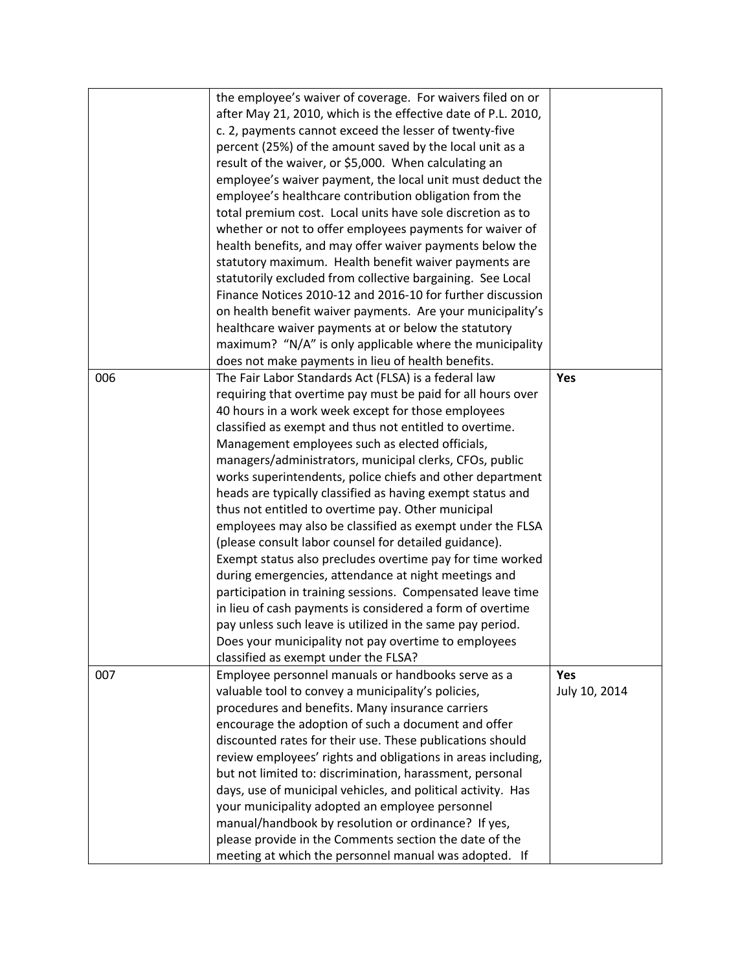|     | the employee's waiver of coverage. For waivers filed on or    |               |
|-----|---------------------------------------------------------------|---------------|
|     | after May 21, 2010, which is the effective date of P.L. 2010, |               |
|     | c. 2, payments cannot exceed the lesser of twenty-five        |               |
|     | percent (25%) of the amount saved by the local unit as a      |               |
|     | result of the waiver, or \$5,000. When calculating an         |               |
|     | employee's waiver payment, the local unit must deduct the     |               |
|     | employee's healthcare contribution obligation from the        |               |
|     | total premium cost. Local units have sole discretion as to    |               |
|     | whether or not to offer employees payments for waiver of      |               |
|     | health benefits, and may offer waiver payments below the      |               |
|     | statutory maximum. Health benefit waiver payments are         |               |
|     | statutorily excluded from collective bargaining. See Local    |               |
|     | Finance Notices 2010-12 and 2016-10 for further discussion    |               |
|     | on health benefit waiver payments. Are your municipality's    |               |
|     | healthcare waiver payments at or below the statutory          |               |
|     | maximum? "N/A" is only applicable where the municipality      |               |
|     | does not make payments in lieu of health benefits.            |               |
| 006 | The Fair Labor Standards Act (FLSA) is a federal law          | Yes           |
|     | requiring that overtime pay must be paid for all hours over   |               |
|     | 40 hours in a work week except for those employees            |               |
|     | classified as exempt and thus not entitled to overtime.       |               |
|     | Management employees such as elected officials,               |               |
|     | managers/administrators, municipal clerks, CFOs, public       |               |
|     | works superintendents, police chiefs and other department     |               |
|     | heads are typically classified as having exempt status and    |               |
|     | thus not entitled to overtime pay. Other municipal            |               |
|     | employees may also be classified as exempt under the FLSA     |               |
|     | (please consult labor counsel for detailed guidance).         |               |
|     | Exempt status also precludes overtime pay for time worked     |               |
|     | during emergencies, attendance at night meetings and          |               |
|     | participation in training sessions. Compensated leave time    |               |
|     | in lieu of cash payments is considered a form of overtime     |               |
|     | pay unless such leave is utilized in the same pay period.     |               |
|     | Does your municipality not pay overtime to employees          |               |
|     | classified as exempt under the FLSA?                          |               |
| 007 | Employee personnel manuals or handbooks serve as a            | Yes           |
|     | valuable tool to convey a municipality's policies,            | July 10, 2014 |
|     | procedures and benefits. Many insurance carriers              |               |
|     | encourage the adoption of such a document and offer           |               |
|     | discounted rates for their use. These publications should     |               |
|     | review employees' rights and obligations in areas including,  |               |
|     | but not limited to: discrimination, harassment, personal      |               |
|     | days, use of municipal vehicles, and political activity. Has  |               |
|     | your municipality adopted an employee personnel               |               |
|     | manual/handbook by resolution or ordinance? If yes,           |               |
|     | please provide in the Comments section the date of the        |               |
|     | meeting at which the personnel manual was adopted. If         |               |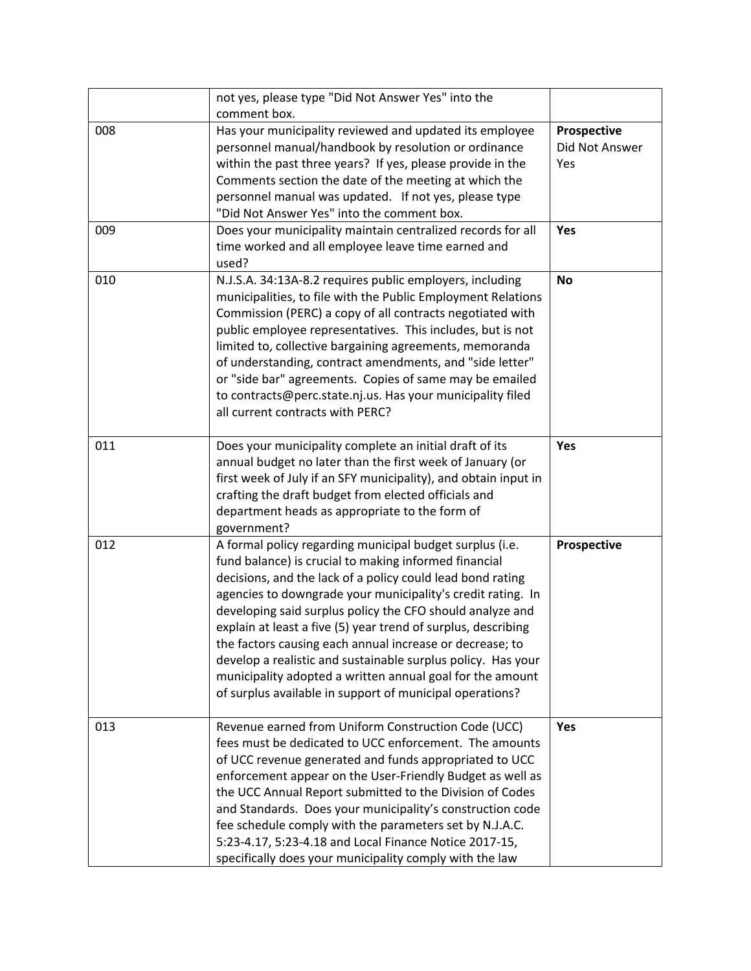|     | not yes, please type "Did Not Answer Yes" into the<br>comment box.                                                                                                                                                                                                                                                                                                                                                                                                                                                                                                                                                                |                                      |
|-----|-----------------------------------------------------------------------------------------------------------------------------------------------------------------------------------------------------------------------------------------------------------------------------------------------------------------------------------------------------------------------------------------------------------------------------------------------------------------------------------------------------------------------------------------------------------------------------------------------------------------------------------|--------------------------------------|
| 008 | Has your municipality reviewed and updated its employee<br>personnel manual/handbook by resolution or ordinance<br>within the past three years? If yes, please provide in the<br>Comments section the date of the meeting at which the<br>personnel manual was updated. If not yes, please type<br>"Did Not Answer Yes" into the comment box.                                                                                                                                                                                                                                                                                     | Prospective<br>Did Not Answer<br>Yes |
| 009 | Does your municipality maintain centralized records for all<br>time worked and all employee leave time earned and<br>used?                                                                                                                                                                                                                                                                                                                                                                                                                                                                                                        | Yes                                  |
| 010 | N.J.S.A. 34:13A-8.2 requires public employers, including<br>municipalities, to file with the Public Employment Relations<br>Commission (PERC) a copy of all contracts negotiated with<br>public employee representatives. This includes, but is not<br>limited to, collective bargaining agreements, memoranda<br>of understanding, contract amendments, and "side letter"<br>or "side bar" agreements. Copies of same may be emailed<br>to contracts@perc.state.nj.us. Has your municipality filed<br>all current contracts with PERC?                                                                                           | <b>No</b>                            |
| 011 | Does your municipality complete an initial draft of its<br>annual budget no later than the first week of January (or<br>first week of July if an SFY municipality), and obtain input in<br>crafting the draft budget from elected officials and<br>department heads as appropriate to the form of<br>government?                                                                                                                                                                                                                                                                                                                  | Yes                                  |
| 012 | A formal policy regarding municipal budget surplus (i.e.<br>fund balance) is crucial to making informed financial<br>decisions, and the lack of a policy could lead bond rating<br>agencies to downgrade your municipality's credit rating. In<br>developing said surplus policy the CFO should analyze and<br>explain at least a five (5) year trend of surplus, describing<br>the factors causing each annual increase or decrease; to<br>develop a realistic and sustainable surplus policy. Has your<br>municipality adopted a written annual goal for the amount<br>of surplus available in support of municipal operations? | Prospective                          |
| 013 | Revenue earned from Uniform Construction Code (UCC)<br>fees must be dedicated to UCC enforcement. The amounts<br>of UCC revenue generated and funds appropriated to UCC<br>enforcement appear on the User-Friendly Budget as well as<br>the UCC Annual Report submitted to the Division of Codes<br>and Standards. Does your municipality's construction code<br>fee schedule comply with the parameters set by N.J.A.C.<br>5:23-4.17, 5:23-4.18 and Local Finance Notice 2017-15,<br>specifically does your municipality comply with the law                                                                                     | Yes                                  |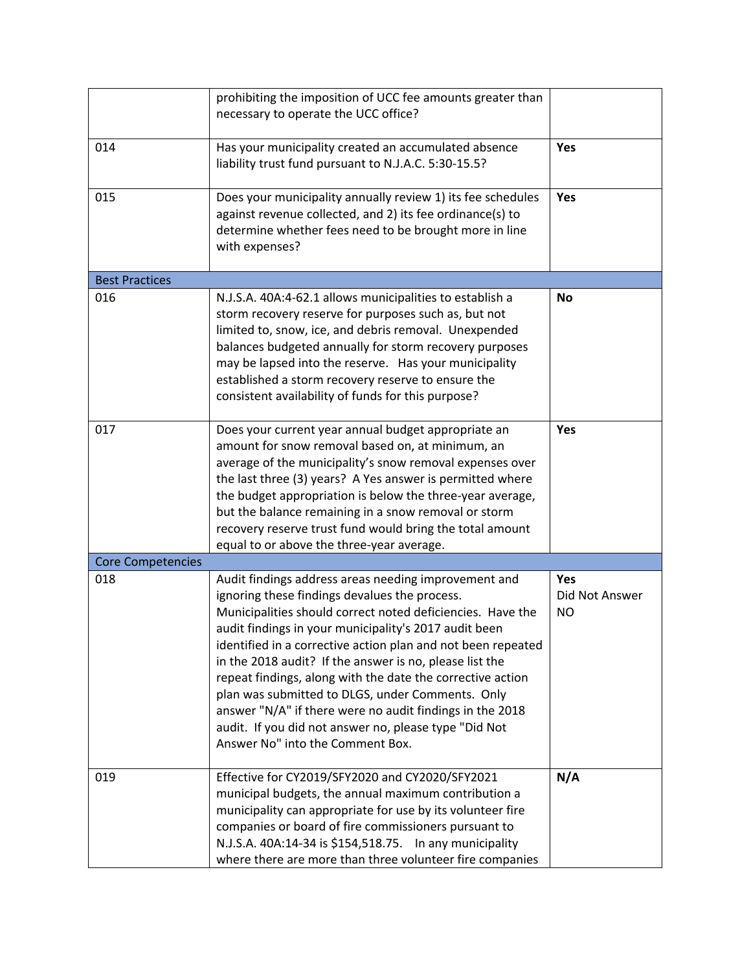|                          | prohibiting the imposition of UCC fee amounts greater than<br>necessary to operate the UCC office?                                                                                                                                                                                                                                                                                                                                                                                                                                                                                                                                 |                                    |
|--------------------------|------------------------------------------------------------------------------------------------------------------------------------------------------------------------------------------------------------------------------------------------------------------------------------------------------------------------------------------------------------------------------------------------------------------------------------------------------------------------------------------------------------------------------------------------------------------------------------------------------------------------------------|------------------------------------|
| 014                      | Has your municipality created an accumulated absence<br>liability trust fund pursuant to N.J.A.C. 5:30-15.5?                                                                                                                                                                                                                                                                                                                                                                                                                                                                                                                       | Yes                                |
| 015                      | Does your municipality annually review 1) its fee schedules<br>against revenue collected, and 2) its fee ordinance(s) to<br>determine whether fees need to be brought more in line<br>with expenses?                                                                                                                                                                                                                                                                                                                                                                                                                               | Yes                                |
| <b>Best Practices</b>    |                                                                                                                                                                                                                                                                                                                                                                                                                                                                                                                                                                                                                                    |                                    |
| 016                      | N.J.S.A. 40A:4-62.1 allows municipalities to establish a<br>storm recovery reserve for purposes such as, but not<br>limited to, snow, ice, and debris removal. Unexpended<br>balances budgeted annually for storm recovery purposes<br>may be lapsed into the reserve. Has your municipality<br>established a storm recovery reserve to ensure the<br>consistent availability of funds for this purpose?                                                                                                                                                                                                                           | No                                 |
| 017                      | Does your current year annual budget appropriate an<br>amount for snow removal based on, at minimum, an<br>average of the municipality's snow removal expenses over<br>the last three (3) years? A Yes answer is permitted where<br>the budget appropriation is below the three-year average,<br>but the balance remaining in a snow removal or storm<br>recovery reserve trust fund would bring the total amount<br>equal to or above the three-year average.                                                                                                                                                                     | Yes                                |
| <b>Core Competencies</b> |                                                                                                                                                                                                                                                                                                                                                                                                                                                                                                                                                                                                                                    |                                    |
| 018                      | Audit findings address areas needing improvement and<br>ignoring these findings devalues the process.<br>Municipalities should correct noted deficiencies. Have the<br>audit findings in your municipality's 2017 audit been<br>identified in a corrective action plan and not been repeated<br>in the 2018 audit? If the answer is no, please list the<br>repeat findings, along with the date the corrective action<br>plan was submitted to DLGS, under Comments. Only<br>answer "N/A" if there were no audit findings in the 2018<br>audit. If you did not answer no, please type "Did Not<br>Answer No" into the Comment Box. | Yes<br>Did Not Answer<br><b>NO</b> |
| 019                      | Effective for CY2019/SFY2020 and CY2020/SFY2021<br>municipal budgets, the annual maximum contribution a<br>municipality can appropriate for use by its volunteer fire<br>companies or board of fire commissioners pursuant to<br>N.J.S.A. 40A:14-34 is \$154,518.75. In any municipality<br>where there are more than three volunteer fire companies                                                                                                                                                                                                                                                                               | N/A                                |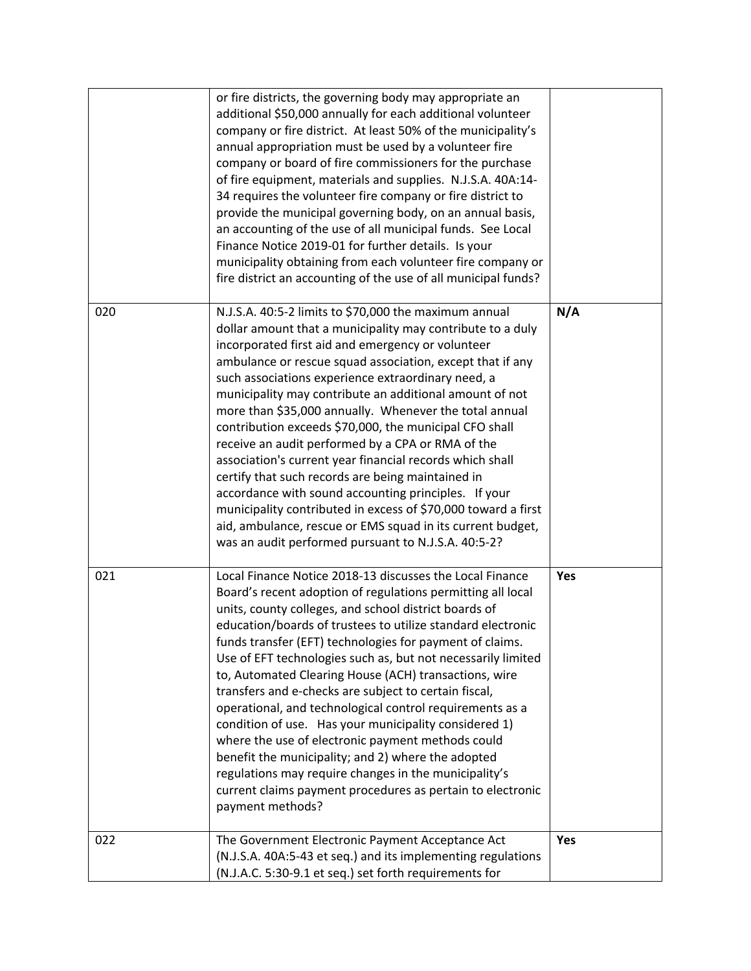| 020 | annual appropriation must be used by a volunteer fire<br>company or board of fire commissioners for the purchase<br>of fire equipment, materials and supplies. N.J.S.A. 40A:14-<br>34 requires the volunteer fire company or fire district to<br>provide the municipal governing body, on an annual basis,<br>an accounting of the use of all municipal funds. See Local<br>Finance Notice 2019-01 for further details. Is your<br>municipality obtaining from each volunteer fire company or<br>fire district an accounting of the use of all municipal funds?<br>N.J.S.A. 40:5-2 limits to \$70,000 the maximum annual<br>dollar amount that a municipality may contribute to a duly<br>incorporated first aid and emergency or volunteer<br>ambulance or rescue squad association, except that if any<br>such associations experience extraordinary need, a<br>municipality may contribute an additional amount of not<br>more than \$35,000 annually. Whenever the total annual<br>contribution exceeds \$70,000, the municipal CFO shall<br>receive an audit performed by a CPA or RMA of the<br>association's current year financial records which shall<br>certify that such records are being maintained in<br>accordance with sound accounting principles. If your<br>municipality contributed in excess of \$70,000 toward a first<br>aid, ambulance, rescue or EMS squad in its current budget,<br>was an audit performed pursuant to N.J.S.A. 40:5-2? | N/A |
|-----|-------------------------------------------------------------------------------------------------------------------------------------------------------------------------------------------------------------------------------------------------------------------------------------------------------------------------------------------------------------------------------------------------------------------------------------------------------------------------------------------------------------------------------------------------------------------------------------------------------------------------------------------------------------------------------------------------------------------------------------------------------------------------------------------------------------------------------------------------------------------------------------------------------------------------------------------------------------------------------------------------------------------------------------------------------------------------------------------------------------------------------------------------------------------------------------------------------------------------------------------------------------------------------------------------------------------------------------------------------------------------------------------------------------------------------------------------------------------|-----|
| 021 | Local Finance Notice 2018-13 discusses the Local Finance<br>Board's recent adoption of regulations permitting all local<br>units, county colleges, and school district boards of<br>education/boards of trustees to utilize standard electronic<br>funds transfer (EFT) technologies for payment of claims.<br>Use of EFT technologies such as, but not necessarily limited<br>to, Automated Clearing House (ACH) transactions, wire<br>transfers and e-checks are subject to certain fiscal,<br>operational, and technological control requirements as a<br>condition of use. Has your municipality considered 1)<br>where the use of electronic payment methods could<br>benefit the municipality; and 2) where the adopted<br>regulations may require changes in the municipality's<br>current claims payment procedures as pertain to electronic<br>payment methods?                                                                                                                                                                                                                                                                                                                                                                                                                                                                                                                                                                                          | Yes |
| 022 | The Government Electronic Payment Acceptance Act<br>(N.J.S.A. 40A:5-43 et seq.) and its implementing regulations<br>(N.J.A.C. 5:30-9.1 et seq.) set forth requirements for                                                                                                                                                                                                                                                                                                                                                                                                                                                                                                                                                                                                                                                                                                                                                                                                                                                                                                                                                                                                                                                                                                                                                                                                                                                                                        | Yes |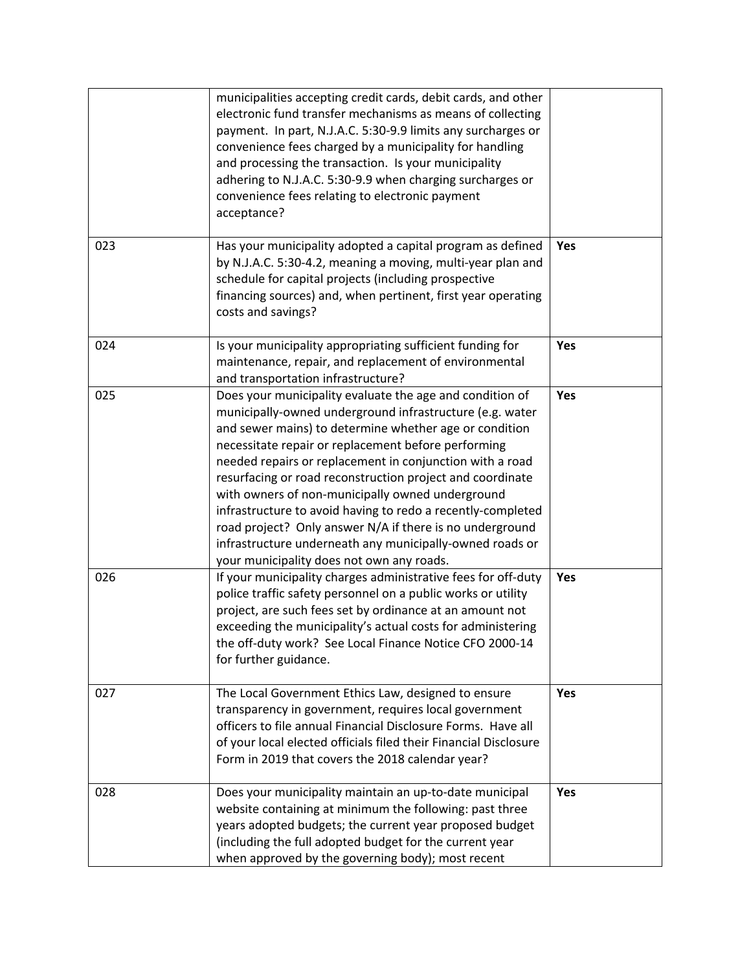|     | municipalities accepting credit cards, debit cards, and other<br>electronic fund transfer mechanisms as means of collecting<br>payment. In part, N.J.A.C. 5:30-9.9 limits any surcharges or<br>convenience fees charged by a municipality for handling<br>and processing the transaction. Is your municipality<br>adhering to N.J.A.C. 5:30-9.9 when charging surcharges or<br>convenience fees relating to electronic payment<br>acceptance?                                                                                                                                                                                                          |     |
|-----|--------------------------------------------------------------------------------------------------------------------------------------------------------------------------------------------------------------------------------------------------------------------------------------------------------------------------------------------------------------------------------------------------------------------------------------------------------------------------------------------------------------------------------------------------------------------------------------------------------------------------------------------------------|-----|
| 023 | Has your municipality adopted a capital program as defined<br>by N.J.A.C. 5:30-4.2, meaning a moving, multi-year plan and<br>schedule for capital projects (including prospective<br>financing sources) and, when pertinent, first year operating<br>costs and savings?                                                                                                                                                                                                                                                                                                                                                                                | Yes |
| 024 | Is your municipality appropriating sufficient funding for<br>maintenance, repair, and replacement of environmental<br>and transportation infrastructure?                                                                                                                                                                                                                                                                                                                                                                                                                                                                                               | Yes |
| 025 | Does your municipality evaluate the age and condition of<br>municipally-owned underground infrastructure (e.g. water<br>and sewer mains) to determine whether age or condition<br>necessitate repair or replacement before performing<br>needed repairs or replacement in conjunction with a road<br>resurfacing or road reconstruction project and coordinate<br>with owners of non-municipally owned underground<br>infrastructure to avoid having to redo a recently-completed<br>road project? Only answer N/A if there is no underground<br>infrastructure underneath any municipally-owned roads or<br>your municipality does not own any roads. | Yes |
| 026 | If your municipality charges administrative fees for off-duty<br>police traffic safety personnel on a public works or utility<br>project, are such fees set by ordinance at an amount not<br>exceeding the municipality's actual costs for administering<br>the off-duty work? See Local Finance Notice CFO 2000-14<br>for further guidance.                                                                                                                                                                                                                                                                                                           | Yes |
| 027 | The Local Government Ethics Law, designed to ensure<br>transparency in government, requires local government<br>officers to file annual Financial Disclosure Forms. Have all<br>of your local elected officials filed their Financial Disclosure<br>Form in 2019 that covers the 2018 calendar year?                                                                                                                                                                                                                                                                                                                                                   | Yes |
| 028 | Does your municipality maintain an up-to-date municipal<br>website containing at minimum the following: past three<br>years adopted budgets; the current year proposed budget<br>(including the full adopted budget for the current year<br>when approved by the governing body); most recent                                                                                                                                                                                                                                                                                                                                                          | Yes |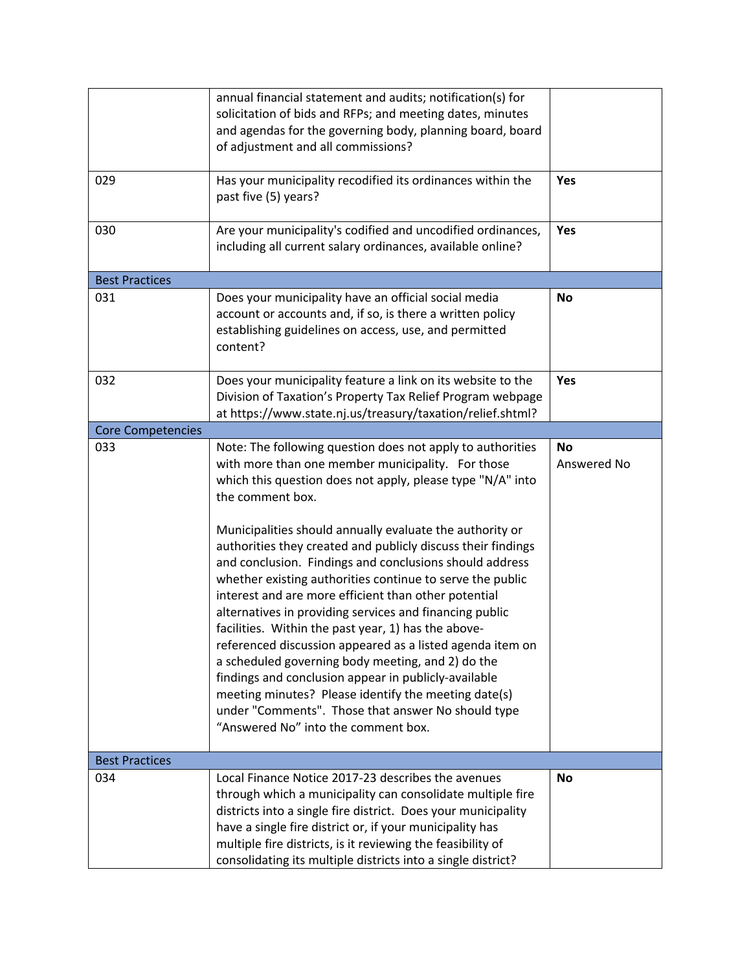|                          | annual financial statement and audits; notification(s) for<br>solicitation of bids and RFPs; and meeting dates, minutes<br>and agendas for the governing body, planning board, board<br>of adjustment and all commissions?                                                                                                                                                                                                                                                                                                                                                                                                                                                                                                                                                                                                                                        |                          |
|--------------------------|-------------------------------------------------------------------------------------------------------------------------------------------------------------------------------------------------------------------------------------------------------------------------------------------------------------------------------------------------------------------------------------------------------------------------------------------------------------------------------------------------------------------------------------------------------------------------------------------------------------------------------------------------------------------------------------------------------------------------------------------------------------------------------------------------------------------------------------------------------------------|--------------------------|
| 029                      | Has your municipality recodified its ordinances within the<br>past five (5) years?                                                                                                                                                                                                                                                                                                                                                                                                                                                                                                                                                                                                                                                                                                                                                                                | Yes                      |
| 030                      | Are your municipality's codified and uncodified ordinances,<br>including all current salary ordinances, available online?                                                                                                                                                                                                                                                                                                                                                                                                                                                                                                                                                                                                                                                                                                                                         | Yes                      |
| <b>Best Practices</b>    |                                                                                                                                                                                                                                                                                                                                                                                                                                                                                                                                                                                                                                                                                                                                                                                                                                                                   |                          |
| 031                      | Does your municipality have an official social media<br>account or accounts and, if so, is there a written policy<br>establishing guidelines on access, use, and permitted<br>content?                                                                                                                                                                                                                                                                                                                                                                                                                                                                                                                                                                                                                                                                            | <b>No</b>                |
| 032                      | Does your municipality feature a link on its website to the<br>Division of Taxation's Property Tax Relief Program webpage<br>at https://www.state.nj.us/treasury/taxation/relief.shtml?                                                                                                                                                                                                                                                                                                                                                                                                                                                                                                                                                                                                                                                                           | Yes                      |
| <b>Core Competencies</b> |                                                                                                                                                                                                                                                                                                                                                                                                                                                                                                                                                                                                                                                                                                                                                                                                                                                                   |                          |
| 033                      | Note: The following question does not apply to authorities<br>with more than one member municipality. For those<br>which this question does not apply, please type "N/A" into<br>the comment box.<br>Municipalities should annually evaluate the authority or<br>authorities they created and publicly discuss their findings<br>and conclusion. Findings and conclusions should address<br>whether existing authorities continue to serve the public<br>interest and are more efficient than other potential<br>alternatives in providing services and financing public<br>facilities. Within the past year, 1) has the above-<br>referenced discussion appeared as a listed agenda item on<br>a scheduled governing body meeting, and 2) do the<br>findings and conclusion appear in publicly-available<br>meeting minutes? Please identify the meeting date(s) | <b>No</b><br>Answered No |
|                          | under "Comments". Those that answer No should type<br>"Answered No" into the comment box.                                                                                                                                                                                                                                                                                                                                                                                                                                                                                                                                                                                                                                                                                                                                                                         |                          |
| <b>Best Practices</b>    |                                                                                                                                                                                                                                                                                                                                                                                                                                                                                                                                                                                                                                                                                                                                                                                                                                                                   |                          |
| 034                      | Local Finance Notice 2017-23 describes the avenues<br>through which a municipality can consolidate multiple fire<br>districts into a single fire district. Does your municipality<br>have a single fire district or, if your municipality has<br>multiple fire districts, is it reviewing the feasibility of<br>consolidating its multiple districts into a single district?                                                                                                                                                                                                                                                                                                                                                                                                                                                                                      | No                       |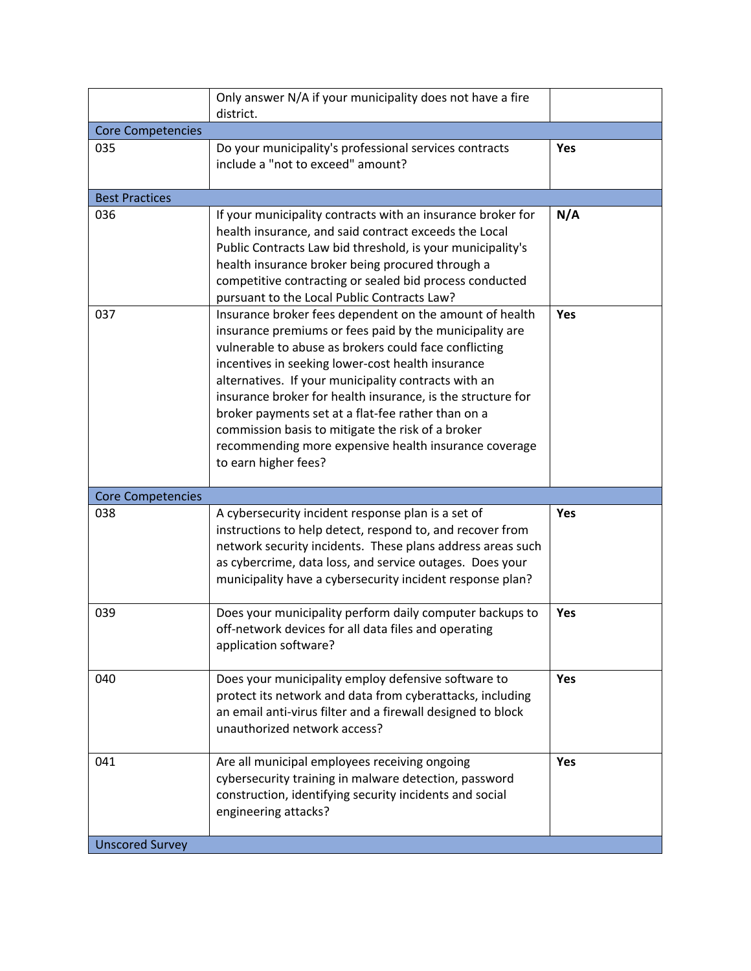|                          | Only answer N/A if your municipality does not have a fire<br>district.                                                                                                                                                                                                                                                                                                                                                                                                                                                                              |            |
|--------------------------|-----------------------------------------------------------------------------------------------------------------------------------------------------------------------------------------------------------------------------------------------------------------------------------------------------------------------------------------------------------------------------------------------------------------------------------------------------------------------------------------------------------------------------------------------------|------------|
| <b>Core Competencies</b> |                                                                                                                                                                                                                                                                                                                                                                                                                                                                                                                                                     |            |
| 035                      | Do your municipality's professional services contracts<br>include a "not to exceed" amount?                                                                                                                                                                                                                                                                                                                                                                                                                                                         | <b>Yes</b> |
| <b>Best Practices</b>    |                                                                                                                                                                                                                                                                                                                                                                                                                                                                                                                                                     |            |
| 036                      | If your municipality contracts with an insurance broker for<br>health insurance, and said contract exceeds the Local<br>Public Contracts Law bid threshold, is your municipality's<br>health insurance broker being procured through a<br>competitive contracting or sealed bid process conducted<br>pursuant to the Local Public Contracts Law?                                                                                                                                                                                                    | N/A        |
| 037                      | Insurance broker fees dependent on the amount of health<br>insurance premiums or fees paid by the municipality are<br>vulnerable to abuse as brokers could face conflicting<br>incentives in seeking lower-cost health insurance<br>alternatives. If your municipality contracts with an<br>insurance broker for health insurance, is the structure for<br>broker payments set at a flat-fee rather than on a<br>commission basis to mitigate the risk of a broker<br>recommending more expensive health insurance coverage<br>to earn higher fees? | Yes        |
| <b>Core Competencies</b> |                                                                                                                                                                                                                                                                                                                                                                                                                                                                                                                                                     |            |
| 038                      | A cybersecurity incident response plan is a set of<br>instructions to help detect, respond to, and recover from<br>network security incidents. These plans address areas such<br>as cybercrime, data loss, and service outages. Does your<br>municipality have a cybersecurity incident response plan?                                                                                                                                                                                                                                              | <b>Yes</b> |
| 039                      | Does your municipality perform daily computer backups to<br>off-network devices for all data files and operating<br>application software?                                                                                                                                                                                                                                                                                                                                                                                                           | Yes        |
| 040                      | Does your municipality employ defensive software to<br>protect its network and data from cyberattacks, including<br>an email anti-virus filter and a firewall designed to block<br>unauthorized network access?                                                                                                                                                                                                                                                                                                                                     | Yes        |
| 041                      | Are all municipal employees receiving ongoing<br>cybersecurity training in malware detection, password<br>construction, identifying security incidents and social<br>engineering attacks?                                                                                                                                                                                                                                                                                                                                                           | Yes        |
|                          |                                                                                                                                                                                                                                                                                                                                                                                                                                                                                                                                                     |            |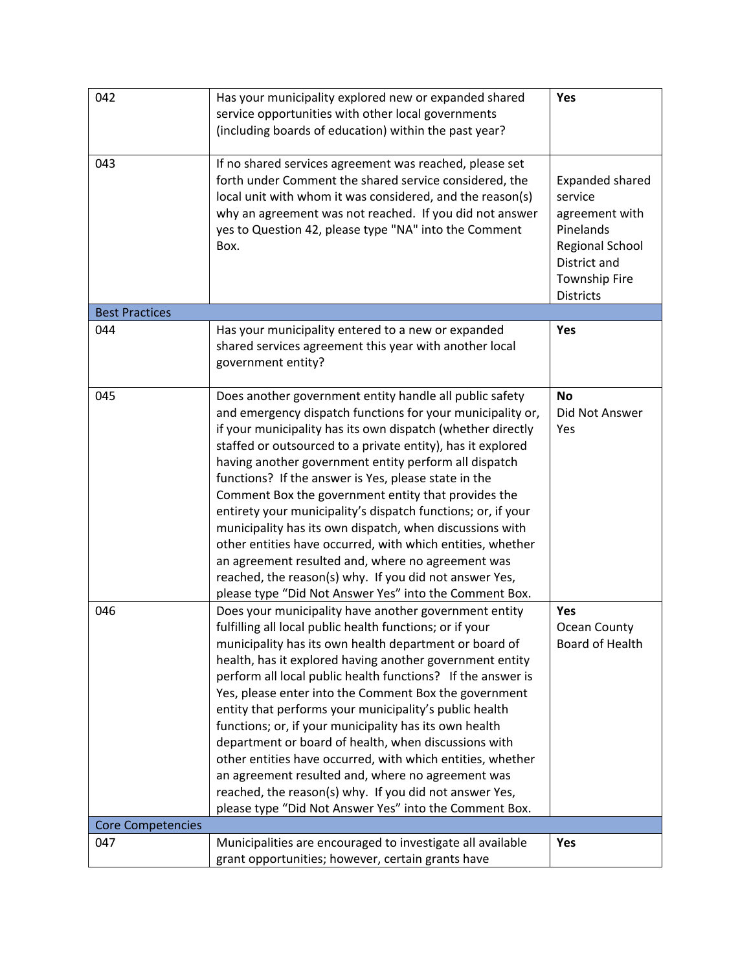| 042                      | Has your municipality explored new or expanded shared<br>service opportunities with other local governments<br>(including boards of education) within the past year?                                                                                                                                                                                                                                                                                                                                                                                                                                                                                                                                                                                                                           | Yes                                                                                                                                                    |
|--------------------------|------------------------------------------------------------------------------------------------------------------------------------------------------------------------------------------------------------------------------------------------------------------------------------------------------------------------------------------------------------------------------------------------------------------------------------------------------------------------------------------------------------------------------------------------------------------------------------------------------------------------------------------------------------------------------------------------------------------------------------------------------------------------------------------------|--------------------------------------------------------------------------------------------------------------------------------------------------------|
| 043                      | If no shared services agreement was reached, please set<br>forth under Comment the shared service considered, the<br>local unit with whom it was considered, and the reason(s)<br>why an agreement was not reached. If you did not answer<br>yes to Question 42, please type "NA" into the Comment<br>Box.                                                                                                                                                                                                                                                                                                                                                                                                                                                                                     | <b>Expanded shared</b><br>service<br>agreement with<br>Pinelands<br><b>Regional School</b><br>District and<br><b>Township Fire</b><br><b>Districts</b> |
| <b>Best Practices</b>    |                                                                                                                                                                                                                                                                                                                                                                                                                                                                                                                                                                                                                                                                                                                                                                                                |                                                                                                                                                        |
| 044                      | Has your municipality entered to a new or expanded<br>shared services agreement this year with another local<br>government entity?                                                                                                                                                                                                                                                                                                                                                                                                                                                                                                                                                                                                                                                             | Yes                                                                                                                                                    |
| 045                      | Does another government entity handle all public safety<br>and emergency dispatch functions for your municipality or,<br>if your municipality has its own dispatch (whether directly<br>staffed or outsourced to a private entity), has it explored<br>having another government entity perform all dispatch<br>functions? If the answer is Yes, please state in the<br>Comment Box the government entity that provides the<br>entirety your municipality's dispatch functions; or, if your<br>municipality has its own dispatch, when discussions with<br>other entities have occurred, with which entities, whether<br>an agreement resulted and, where no agreement was<br>reached, the reason(s) why. If you did not answer Yes,<br>please type "Did Not Answer Yes" into the Comment Box. | <b>No</b><br>Did Not Answer<br>Yes                                                                                                                     |
| 046                      | Does your municipality have another government entity<br>fulfilling all local public health functions; or if your<br>municipality has its own health department or board of<br>health, has it explored having another government entity<br>perform all local public health functions? If the answer is<br>Yes, please enter into the Comment Box the government<br>entity that performs your municipality's public health<br>functions; or, if your municipality has its own health<br>department or board of health, when discussions with<br>other entities have occurred, with which entities, whether<br>an agreement resulted and, where no agreement was<br>reached, the reason(s) why. If you did not answer Yes,<br>please type "Did Not Answer Yes" into the Comment Box.             | Yes<br>Ocean County<br>Board of Health                                                                                                                 |
| <b>Core Competencies</b> |                                                                                                                                                                                                                                                                                                                                                                                                                                                                                                                                                                                                                                                                                                                                                                                                |                                                                                                                                                        |
| 047                      | Municipalities are encouraged to investigate all available<br>grant opportunities; however, certain grants have                                                                                                                                                                                                                                                                                                                                                                                                                                                                                                                                                                                                                                                                                | Yes                                                                                                                                                    |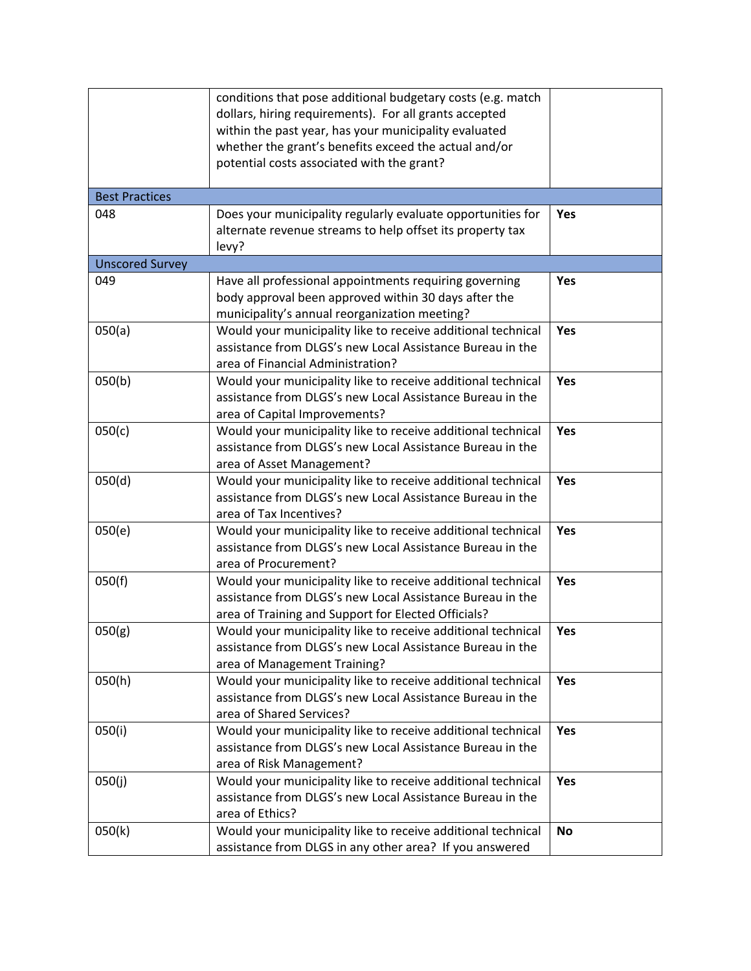|                        | conditions that pose additional budgetary costs (e.g. match  |           |
|------------------------|--------------------------------------------------------------|-----------|
|                        | dollars, hiring requirements). For all grants accepted       |           |
|                        | within the past year, has your municipality evaluated        |           |
|                        | whether the grant's benefits exceed the actual and/or        |           |
|                        | potential costs associated with the grant?                   |           |
|                        |                                                              |           |
| <b>Best Practices</b>  |                                                              |           |
| 048                    | Does your municipality regularly evaluate opportunities for  | Yes       |
|                        | alternate revenue streams to help offset its property tax    |           |
|                        | levy?                                                        |           |
| <b>Unscored Survey</b> |                                                              |           |
| 049                    | Have all professional appointments requiring governing       | Yes       |
|                        | body approval been approved within 30 days after the         |           |
|                        | municipality's annual reorganization meeting?                |           |
| 050(a)                 | Would your municipality like to receive additional technical | Yes       |
|                        | assistance from DLGS's new Local Assistance Bureau in the    |           |
|                        | area of Financial Administration?                            |           |
| 050(b)                 | Would your municipality like to receive additional technical | Yes       |
|                        | assistance from DLGS's new Local Assistance Bureau in the    |           |
|                        | area of Capital Improvements?                                |           |
| 050(c)                 | Would your municipality like to receive additional technical | Yes       |
|                        | assistance from DLGS's new Local Assistance Bureau in the    |           |
|                        | area of Asset Management?                                    |           |
| 050(d)                 | Would your municipality like to receive additional technical | Yes       |
|                        | assistance from DLGS's new Local Assistance Bureau in the    |           |
|                        | area of Tax Incentives?                                      |           |
| 050(e)                 | Would your municipality like to receive additional technical | Yes       |
|                        | assistance from DLGS's new Local Assistance Bureau in the    |           |
|                        | area of Procurement?                                         |           |
| 050(f)                 | Would your municipality like to receive additional technical | Yes       |
|                        | assistance from DLGS's new Local Assistance Bureau in the    |           |
|                        | area of Training and Support for Elected Officials?          |           |
| 050(g)                 | Would your municipality like to receive additional technical | Yes       |
|                        | assistance from DLGS's new Local Assistance Bureau in the    |           |
|                        | area of Management Training?                                 |           |
| 050(h)                 | Would your municipality like to receive additional technical | Yes       |
|                        | assistance from DLGS's new Local Assistance Bureau in the    |           |
|                        | area of Shared Services?                                     |           |
| 050(i)                 | Would your municipality like to receive additional technical | Yes       |
|                        | assistance from DLGS's new Local Assistance Bureau in the    |           |
|                        | area of Risk Management?                                     |           |
| 050(j)                 | Would your municipality like to receive additional technical | Yes       |
|                        | assistance from DLGS's new Local Assistance Bureau in the    |           |
|                        | area of Ethics?                                              |           |
| 050(k)                 | Would your municipality like to receive additional technical | <b>No</b> |
|                        | assistance from DLGS in any other area? If you answered      |           |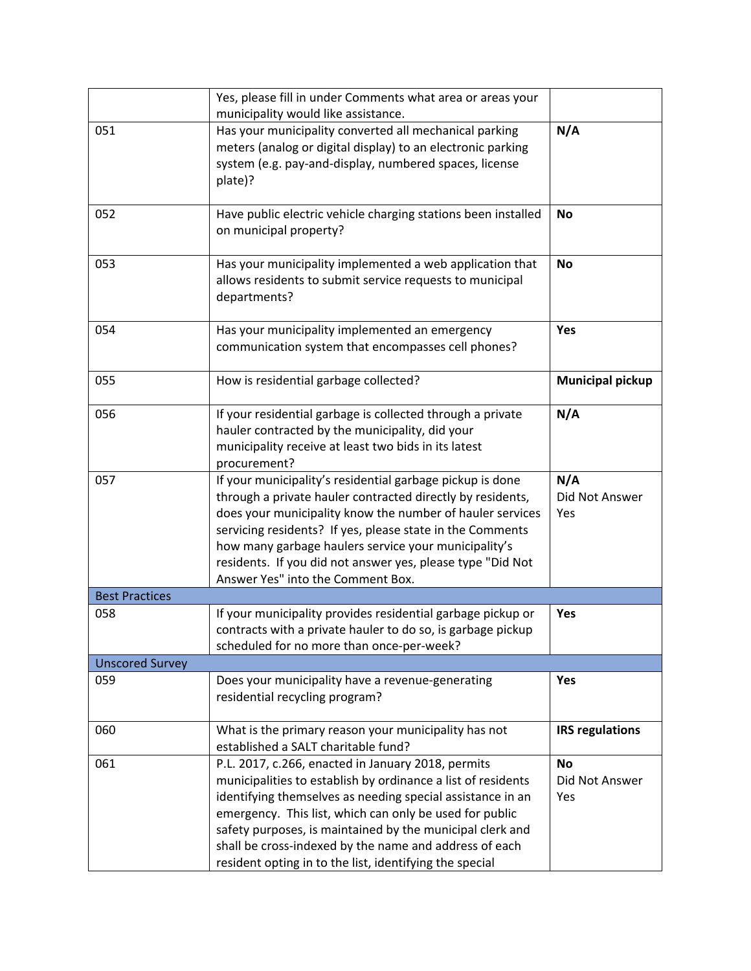|                        | Yes, please fill in under Comments what area or areas your<br>municipality would like assistance.                                                                                                                                                                                                                                                                                                                             |                                    |
|------------------------|-------------------------------------------------------------------------------------------------------------------------------------------------------------------------------------------------------------------------------------------------------------------------------------------------------------------------------------------------------------------------------------------------------------------------------|------------------------------------|
| 051                    | Has your municipality converted all mechanical parking<br>meters (analog or digital display) to an electronic parking<br>system (e.g. pay-and-display, numbered spaces, license<br>plate)?                                                                                                                                                                                                                                    | N/A                                |
| 052                    | Have public electric vehicle charging stations been installed<br>on municipal property?                                                                                                                                                                                                                                                                                                                                       | <b>No</b>                          |
| 053                    | Has your municipality implemented a web application that<br>allows residents to submit service requests to municipal<br>departments?                                                                                                                                                                                                                                                                                          | <b>No</b>                          |
| 054                    | Has your municipality implemented an emergency<br>communication system that encompasses cell phones?                                                                                                                                                                                                                                                                                                                          | Yes                                |
| 055                    | How is residential garbage collected?                                                                                                                                                                                                                                                                                                                                                                                         | <b>Municipal pickup</b>            |
| 056                    | If your residential garbage is collected through a private<br>hauler contracted by the municipality, did your<br>municipality receive at least two bids in its latest<br>procurement?                                                                                                                                                                                                                                         | N/A                                |
| 057                    | If your municipality's residential garbage pickup is done<br>through a private hauler contracted directly by residents,<br>does your municipality know the number of hauler services<br>servicing residents? If yes, please state in the Comments<br>how many garbage haulers service your municipality's<br>residents. If you did not answer yes, please type "Did Not<br>Answer Yes" into the Comment Box.                  | N/A<br>Did Not Answer<br>Yes       |
| <b>Best Practices</b>  |                                                                                                                                                                                                                                                                                                                                                                                                                               |                                    |
| 058                    | If your municipality provides residential garbage pickup or<br>contracts with a private hauler to do so, is garbage pickup<br>scheduled for no more than once-per-week?                                                                                                                                                                                                                                                       | Yes                                |
| <b>Unscored Survey</b> |                                                                                                                                                                                                                                                                                                                                                                                                                               |                                    |
| 059                    | Does your municipality have a revenue-generating<br>residential recycling program?                                                                                                                                                                                                                                                                                                                                            | Yes                                |
| 060                    | What is the primary reason your municipality has not<br>established a SALT charitable fund?                                                                                                                                                                                                                                                                                                                                   | <b>IRS regulations</b>             |
| 061                    | P.L. 2017, c.266, enacted in January 2018, permits<br>municipalities to establish by ordinance a list of residents<br>identifying themselves as needing special assistance in an<br>emergency. This list, which can only be used for public<br>safety purposes, is maintained by the municipal clerk and<br>shall be cross-indexed by the name and address of each<br>resident opting in to the list, identifying the special | <b>No</b><br>Did Not Answer<br>Yes |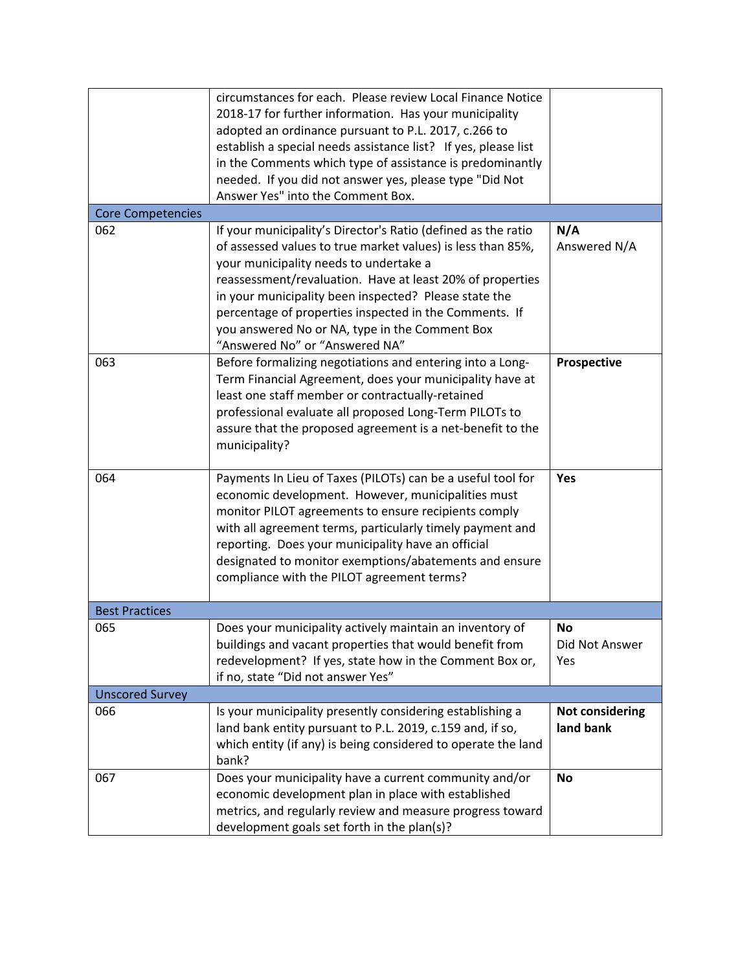| <b>Core Competencies</b> | circumstances for each. Please review Local Finance Notice<br>2018-17 for further information. Has your municipality<br>adopted an ordinance pursuant to P.L. 2017, c.266 to<br>establish a special needs assistance list? If yes, please list<br>in the Comments which type of assistance is predominantly<br>needed. If you did not answer yes, please type "Did Not<br>Answer Yes" into the Comment Box.                                |                                     |
|--------------------------|--------------------------------------------------------------------------------------------------------------------------------------------------------------------------------------------------------------------------------------------------------------------------------------------------------------------------------------------------------------------------------------------------------------------------------------------|-------------------------------------|
| 062                      |                                                                                                                                                                                                                                                                                                                                                                                                                                            | N/A                                 |
|                          | If your municipality's Director's Ratio (defined as the ratio<br>of assessed values to true market values) is less than 85%,<br>your municipality needs to undertake a<br>reassessment/revaluation. Have at least 20% of properties<br>in your municipality been inspected? Please state the<br>percentage of properties inspected in the Comments. If<br>you answered No or NA, type in the Comment Box<br>"Answered No" or "Answered NA" | Answered N/A                        |
| 063                      | Before formalizing negotiations and entering into a Long-<br>Term Financial Agreement, does your municipality have at<br>least one staff member or contractually-retained<br>professional evaluate all proposed Long-Term PILOTs to<br>assure that the proposed agreement is a net-benefit to the<br>municipality?                                                                                                                         | Prospective                         |
| 064                      | Payments In Lieu of Taxes (PILOTs) can be a useful tool for<br>economic development. However, municipalities must<br>monitor PILOT agreements to ensure recipients comply<br>with all agreement terms, particularly timely payment and<br>reporting. Does your municipality have an official<br>designated to monitor exemptions/abatements and ensure<br>compliance with the PILOT agreement terms?                                       | Yes                                 |
| <b>Best Practices</b>    |                                                                                                                                                                                                                                                                                                                                                                                                                                            |                                     |
| 065                      | Does your municipality actively maintain an inventory of<br>buildings and vacant properties that would benefit from<br>redevelopment? If yes, state how in the Comment Box or,<br>if no, state "Did not answer Yes"                                                                                                                                                                                                                        | No<br>Did Not Answer<br>Yes         |
| <b>Unscored Survey</b>   |                                                                                                                                                                                                                                                                                                                                                                                                                                            |                                     |
| 066                      | Is your municipality presently considering establishing a<br>land bank entity pursuant to P.L. 2019, c.159 and, if so,<br>which entity (if any) is being considered to operate the land<br>bank?                                                                                                                                                                                                                                           | <b>Not considering</b><br>land bank |
| 067                      | Does your municipality have a current community and/or<br>economic development plan in place with established<br>metrics, and regularly review and measure progress toward<br>development goals set forth in the plan(s)?                                                                                                                                                                                                                  | <b>No</b>                           |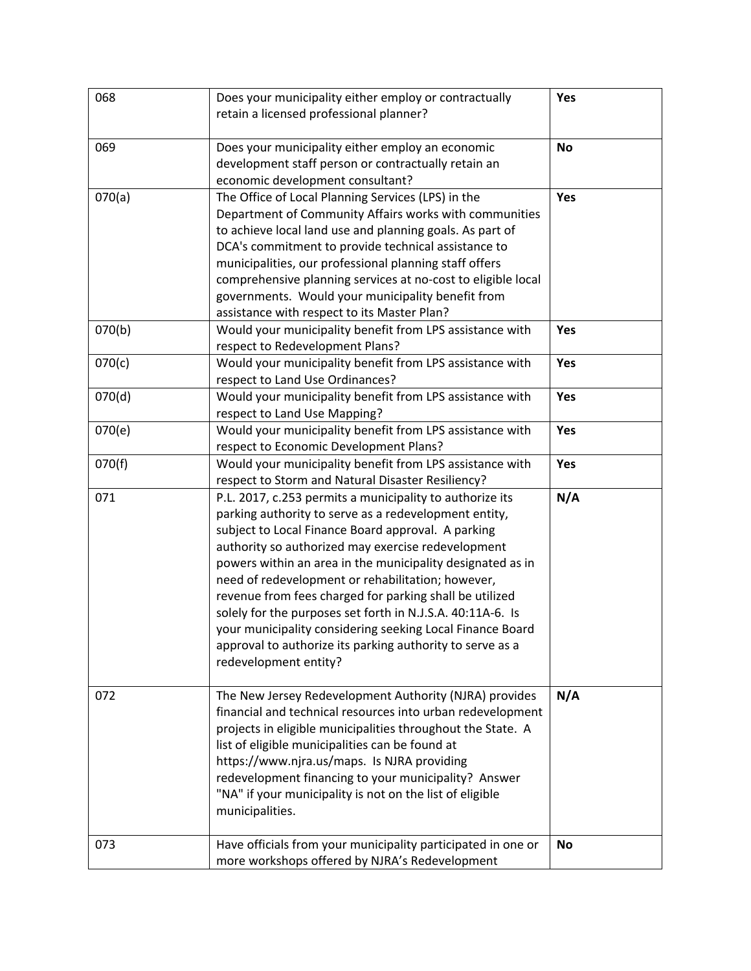| 068    | Does your municipality either employ or contractually<br>retain a licensed professional planner?                                                                                                                                                                                                                                                                                                                                                                                                                                                                                                                             | Yes       |
|--------|------------------------------------------------------------------------------------------------------------------------------------------------------------------------------------------------------------------------------------------------------------------------------------------------------------------------------------------------------------------------------------------------------------------------------------------------------------------------------------------------------------------------------------------------------------------------------------------------------------------------------|-----------|
| 069    | Does your municipality either employ an economic<br>development staff person or contractually retain an<br>economic development consultant?                                                                                                                                                                                                                                                                                                                                                                                                                                                                                  | <b>No</b> |
| 070(a) | The Office of Local Planning Services (LPS) in the<br>Department of Community Affairs works with communities<br>to achieve local land use and planning goals. As part of<br>DCA's commitment to provide technical assistance to<br>municipalities, our professional planning staff offers<br>comprehensive planning services at no-cost to eligible local<br>governments. Would your municipality benefit from<br>assistance with respect to its Master Plan?                                                                                                                                                                | Yes       |
| 070(b) | Would your municipality benefit from LPS assistance with<br>respect to Redevelopment Plans?                                                                                                                                                                                                                                                                                                                                                                                                                                                                                                                                  | Yes       |
| 070(c) | Would your municipality benefit from LPS assistance with<br>respect to Land Use Ordinances?                                                                                                                                                                                                                                                                                                                                                                                                                                                                                                                                  | Yes       |
| 070(d) | Would your municipality benefit from LPS assistance with<br>respect to Land Use Mapping?                                                                                                                                                                                                                                                                                                                                                                                                                                                                                                                                     | Yes       |
| 070(e) | Would your municipality benefit from LPS assistance with<br>respect to Economic Development Plans?                                                                                                                                                                                                                                                                                                                                                                                                                                                                                                                           | Yes       |
| 070(f) | Would your municipality benefit from LPS assistance with<br>respect to Storm and Natural Disaster Resiliency?                                                                                                                                                                                                                                                                                                                                                                                                                                                                                                                | Yes       |
| 071    | P.L. 2017, c.253 permits a municipality to authorize its<br>parking authority to serve as a redevelopment entity,<br>subject to Local Finance Board approval. A parking<br>authority so authorized may exercise redevelopment<br>powers within an area in the municipality designated as in<br>need of redevelopment or rehabilitation; however,<br>revenue from fees charged for parking shall be utilized<br>solely for the purposes set forth in N.J.S.A. 40:11A-6. Is<br>your municipality considering seeking Local Finance Board<br>approval to authorize its parking authority to serve as a<br>redevelopment entity? | N/A       |
| 072    | The New Jersey Redevelopment Authority (NJRA) provides<br>financial and technical resources into urban redevelopment<br>projects in eligible municipalities throughout the State. A<br>list of eligible municipalities can be found at<br>https://www.njra.us/maps. Is NJRA providing<br>redevelopment financing to your municipality? Answer<br>"NA" if your municipality is not on the list of eligible<br>municipalities.                                                                                                                                                                                                 | N/A       |
| 073    | Have officials from your municipality participated in one or<br>more workshops offered by NJRA's Redevelopment                                                                                                                                                                                                                                                                                                                                                                                                                                                                                                               | <b>No</b> |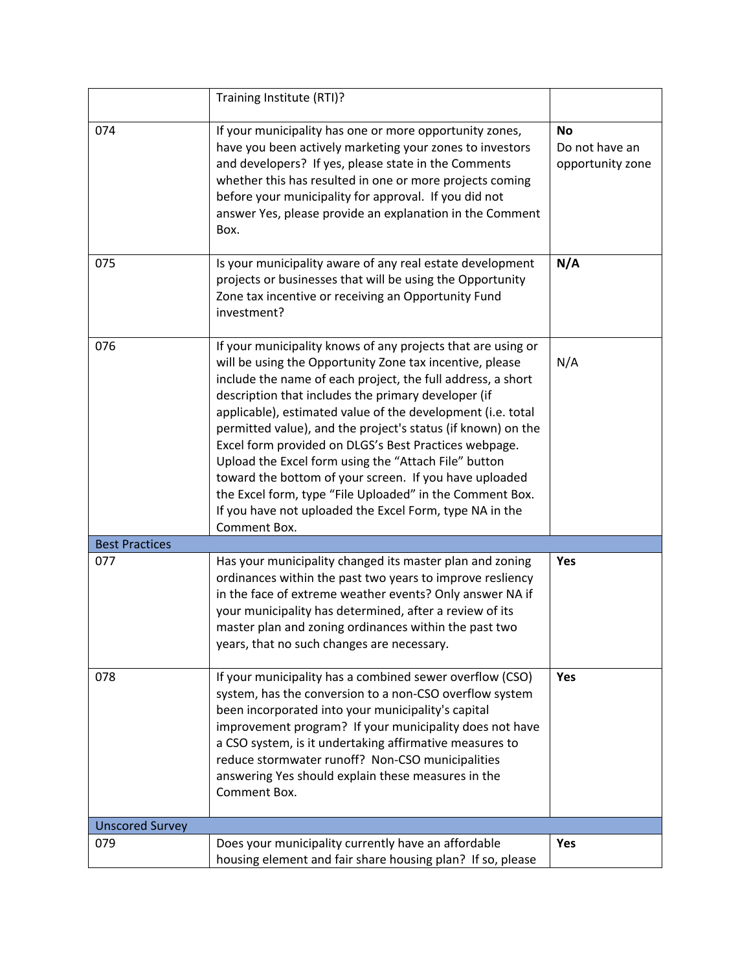|                        | Training Institute (RTI)?                                                                                                                                                                                                                                                                                                                                                                                                                                                                                                                                                                                                                                                                       |                                                 |
|------------------------|-------------------------------------------------------------------------------------------------------------------------------------------------------------------------------------------------------------------------------------------------------------------------------------------------------------------------------------------------------------------------------------------------------------------------------------------------------------------------------------------------------------------------------------------------------------------------------------------------------------------------------------------------------------------------------------------------|-------------------------------------------------|
| 074                    | If your municipality has one or more opportunity zones,<br>have you been actively marketing your zones to investors<br>and developers? If yes, please state in the Comments<br>whether this has resulted in one or more projects coming<br>before your municipality for approval. If you did not<br>answer Yes, please provide an explanation in the Comment<br>Box.                                                                                                                                                                                                                                                                                                                            | <b>No</b><br>Do not have an<br>opportunity zone |
| 075                    | Is your municipality aware of any real estate development<br>projects or businesses that will be using the Opportunity<br>Zone tax incentive or receiving an Opportunity Fund<br>investment?                                                                                                                                                                                                                                                                                                                                                                                                                                                                                                    | N/A                                             |
| 076                    | If your municipality knows of any projects that are using or<br>will be using the Opportunity Zone tax incentive, please<br>include the name of each project, the full address, a short<br>description that includes the primary developer (if<br>applicable), estimated value of the development (i.e. total<br>permitted value), and the project's status (if known) on the<br>Excel form provided on DLGS's Best Practices webpage.<br>Upload the Excel form using the "Attach File" button<br>toward the bottom of your screen. If you have uploaded<br>the Excel form, type "File Uploaded" in the Comment Box.<br>If you have not uploaded the Excel Form, type NA in the<br>Comment Box. | N/A                                             |
| <b>Best Practices</b>  |                                                                                                                                                                                                                                                                                                                                                                                                                                                                                                                                                                                                                                                                                                 |                                                 |
| 077                    | Has your municipality changed its master plan and zoning<br>ordinances within the past two years to improve resliency<br>in the face of extreme weather events? Only answer NA if<br>your municipality has determined, after a review of its<br>master plan and zoning ordinances within the past two<br>years, that no such changes are necessary.                                                                                                                                                                                                                                                                                                                                             | Yes                                             |
| 078                    | If your municipality has a combined sewer overflow (CSO)<br>system, has the conversion to a non-CSO overflow system<br>been incorporated into your municipality's capital<br>improvement program? If your municipality does not have<br>a CSO system, is it undertaking affirmative measures to<br>reduce stormwater runoff? Non-CSO municipalities<br>answering Yes should explain these measures in the<br>Comment Box.                                                                                                                                                                                                                                                                       | Yes                                             |
| <b>Unscored Survey</b> |                                                                                                                                                                                                                                                                                                                                                                                                                                                                                                                                                                                                                                                                                                 |                                                 |
| 079                    | Does your municipality currently have an affordable<br>housing element and fair share housing plan? If so, please                                                                                                                                                                                                                                                                                                                                                                                                                                                                                                                                                                               | Yes                                             |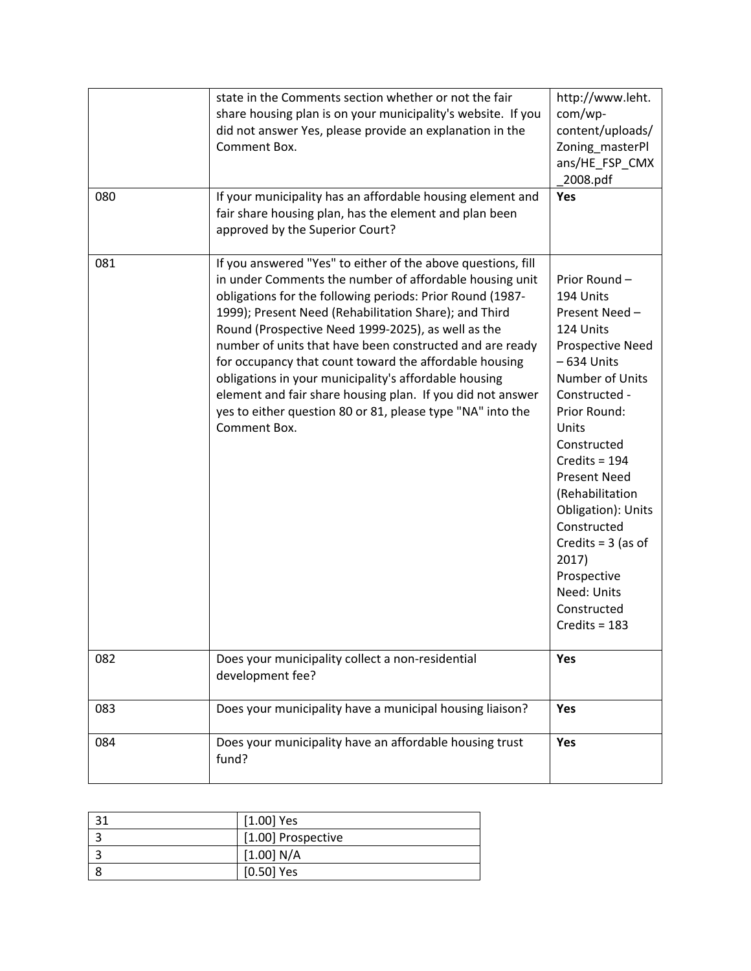| 080 | state in the Comments section whether or not the fair<br>share housing plan is on your municipality's website. If you<br>did not answer Yes, please provide an explanation in the<br>Comment Box.<br>If your municipality has an affordable housing element and<br>fair share housing plan, has the element and plan been<br>approved by the Superior Court?                                                                                                                                                                                                                                                                   | http://www.leht.<br>com/wp-<br>content/uploads/<br>Zoning_masterPl<br>ans/HE_FSP_CMX<br>2008.pdf<br>Yes                                                                                                                                                                                                                                                                     |
|-----|--------------------------------------------------------------------------------------------------------------------------------------------------------------------------------------------------------------------------------------------------------------------------------------------------------------------------------------------------------------------------------------------------------------------------------------------------------------------------------------------------------------------------------------------------------------------------------------------------------------------------------|-----------------------------------------------------------------------------------------------------------------------------------------------------------------------------------------------------------------------------------------------------------------------------------------------------------------------------------------------------------------------------|
| 081 | If you answered "Yes" to either of the above questions, fill<br>in under Comments the number of affordable housing unit<br>obligations for the following periods: Prior Round (1987-<br>1999); Present Need (Rehabilitation Share); and Third<br>Round (Prospective Need 1999-2025), as well as the<br>number of units that have been constructed and are ready<br>for occupancy that count toward the affordable housing<br>obligations in your municipality's affordable housing<br>element and fair share housing plan. If you did not answer<br>yes to either question 80 or 81, please type "NA" into the<br>Comment Box. | Prior Round -<br>194 Units<br>Present Need-<br>124 Units<br>Prospective Need<br>$-634$ Units<br>Number of Units<br>Constructed -<br>Prior Round:<br>Units<br>Constructed<br>Credits = $194$<br><b>Present Need</b><br>(Rehabilitation<br>Obligation): Units<br>Constructed<br>Credits = $3$ (as of<br>2017)<br>Prospective<br>Need: Units<br>Constructed<br>Credits = $183$ |
| 082 | Does your municipality collect a non-residential<br>development fee?                                                                                                                                                                                                                                                                                                                                                                                                                                                                                                                                                           | Yes                                                                                                                                                                                                                                                                                                                                                                         |
| 083 | Does your municipality have a municipal housing liaison?                                                                                                                                                                                                                                                                                                                                                                                                                                                                                                                                                                       | Yes                                                                                                                                                                                                                                                                                                                                                                         |
| 084 | Does your municipality have an affordable housing trust<br>fund?                                                                                                                                                                                                                                                                                                                                                                                                                                                                                                                                                               | Yes                                                                                                                                                                                                                                                                                                                                                                         |

| 21 | $[1.00]$ Yes       |
|----|--------------------|
|    | [1.00] Prospective |
|    | [1.00] N/A         |
|    | $[0.50]$ Yes       |